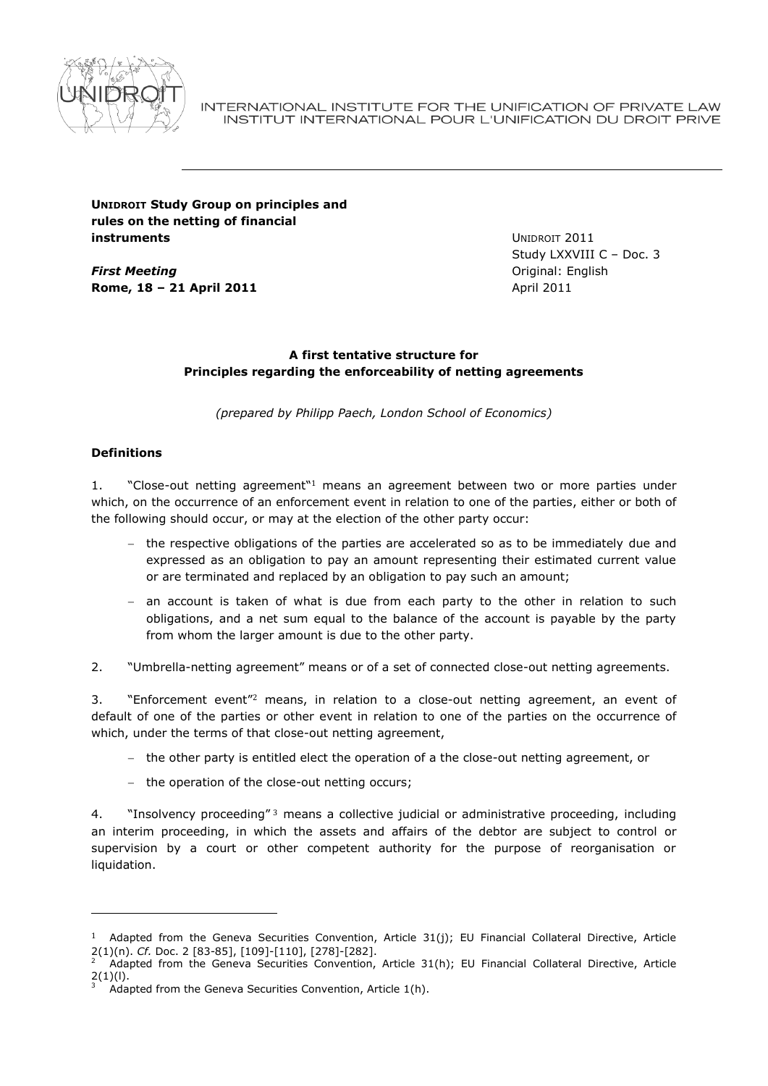

INTERNATIONAL INSTITUTE FOR THE UNIFICATION OF PRIVATE LAW INSTITUT INTERNATIONAL POUR L'UNIFICATION DU DROIT PRIVE

# **UNIDROIT Study Group on principles and rules on the netting of financial instruments**

*First Meeting* **Rome, 18 – 21 April 2011** UNIDROIT 2011 Study LXXVIII C – Doc. 3 Original: English April 2011

# **A first tentative structure for Principles regarding the enforceability of netting agreements**

*(prepared by Philipp Paech, London School of Economics)*

# **Definitions**

-

1. "Close-out netting agreement"<sup>1</sup> means an agreement between two or more parties under which, on the occurrence of an enforcement event in relation to one of the parties, either or both of the following should occur, or may at the election of the other party occur:

- $-$  the respective obligations of the parties are accelerated so as to be immediately due and expressed as an obligation to pay an amount representing their estimated current value or are terminated and replaced by an obligation to pay such an amount;
- $-$  an account is taken of what is due from each party to the other in relation to such obligations, and a net sum equal to the balance of the account is payable by the party from whom the larger amount is due to the other party.
- 2. "Umbrella-netting agreement" means or of a set of connected close-out netting agreements.

3. "Enforcement event"<sup>2</sup> means, in relation to a close-out netting agreement, an event of default of one of the parties or other event in relation to one of the parties on the occurrence of which, under the terms of that close-out netting agreement,

- $-$  the other party is entitled elect the operation of a the close-out netting agreement, or
- the operation of the close-out netting occurs;

4. "Insolvency proceeding" 3 means a collective judicial or administrative proceeding, including an interim proceeding, in which the assets and affairs of the debtor are subject to control or supervision by a court or other competent authority for the purpose of reorganisation or liquidation.

<sup>&</sup>lt;sup>1</sup> Adapted from the Geneva Securities Convention, Article 31(j); EU Financial Collateral Directive, Article 2(1)(n). *Cf.* Doc. 2 [83-85], [109]-[110], [278]-[282].

Adapted from the Geneva Securities Convention, Article 31(h); EU Financial Collateral Directive, Article  $2(1)(I)$ .

 $\widetilde{\mathcal{M}}$  Adapted from the Geneva Securities Convention, Article 1(h).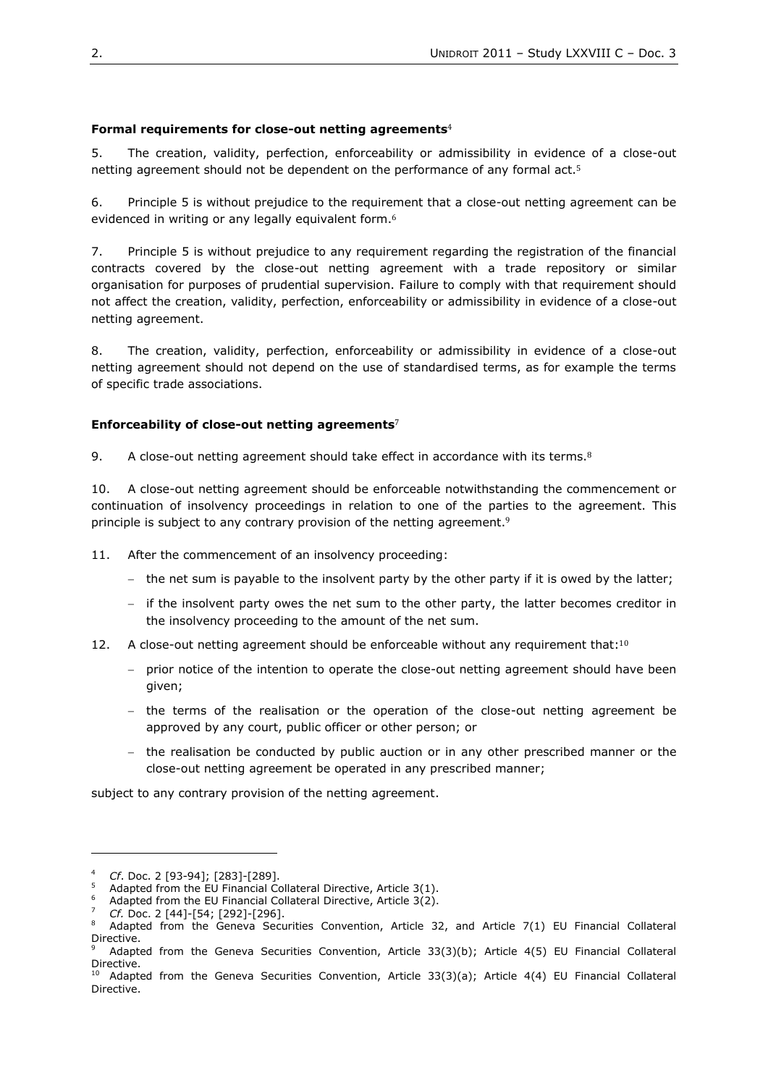# **Formal requirements for close-out netting agreements**<sup>4</sup>

<span id="page-1-0"></span>5. The creation, validity, perfection, enforceability or admissibility in evidence of a close-out netting agreement should not be dependent on the performance of any formal act.<sup>5</sup>

6. Principle [5](#page-1-0) is without prejudice to the requirement that a close-out netting agreement can be evidenced in writing or any legally equivalent form.<sup>6</sup>

7. Principle [5](#page-1-0) is without prejudice to any requirement regarding the registration of the financial contracts covered by the close-out netting agreement with a trade repository or similar organisation for purposes of prudential supervision. Failure to comply with that requirement should not affect the creation, validity, perfection, enforceability or admissibility in evidence of a close-out netting agreement.

8. The creation, validity, perfection, enforceability or admissibility in evidence of a close-out netting agreement should not depend on the use of standardised terms, as for example the terms of specific trade associations.

## **Enforceability of close-out netting agreements**<sup>7</sup>

<span id="page-1-2"></span>9. A close-out netting agreement should take effect in accordance with its terms. $8$ 

10. A close-out netting agreement should be enforceable notwithstanding the commencement or continuation of insolvency proceedings in relation to one of the parties to the agreement. This principle is subject to any contrary provision of the netting agreement.<sup>9</sup>

11. After the commencement of an insolvency proceeding:

- the net sum is payable to the insolvent party by the other party if it is owed by the latter;
- $\overline{a}$  if the insolvent party owes the net sum to the other party, the latter becomes creditor in the insolvency proceeding to the amount of the net sum.
- <span id="page-1-1"></span>12. A close-out netting agreement should be enforceable without any requirement that:<sup>10</sup>
	- prior notice of the intention to operate the close-out netting agreement should have been given;
	- $-$  the terms of the realisation or the operation of the close-out netting agreement be approved by any court, public officer or other person; or
	- the realisation be conducted by public auction or in any other prescribed manner or the close-out netting agreement be operated in any prescribed manner;

subject to any contrary provision of the netting agreement.

-

Adapted from the EU Financial Collateral Directive, Article  $3(2)$ .

<sup>4</sup> *Cf*. Doc. 2 [93-94]; [283]-[289].

Adapted from the EU Financial Collateral Directive, Article 3(1).

<sup>7</sup> *Cf.* Doc. 2 [44]-[54; [292]-[296].

<sup>8</sup> Adapted from the Geneva Securities Convention, Article 32, and Article 7(1) EU Financial Collateral Directive.

Adapted from the Geneva Securities Convention, Article 33(3)(b); Article 4(5) EU Financial Collateral Directive.

<sup>&</sup>lt;sup>10</sup> Adapted from the Geneva Securities Convention, Article 33(3)(a); Article 4(4) EU Financial Collateral Directive.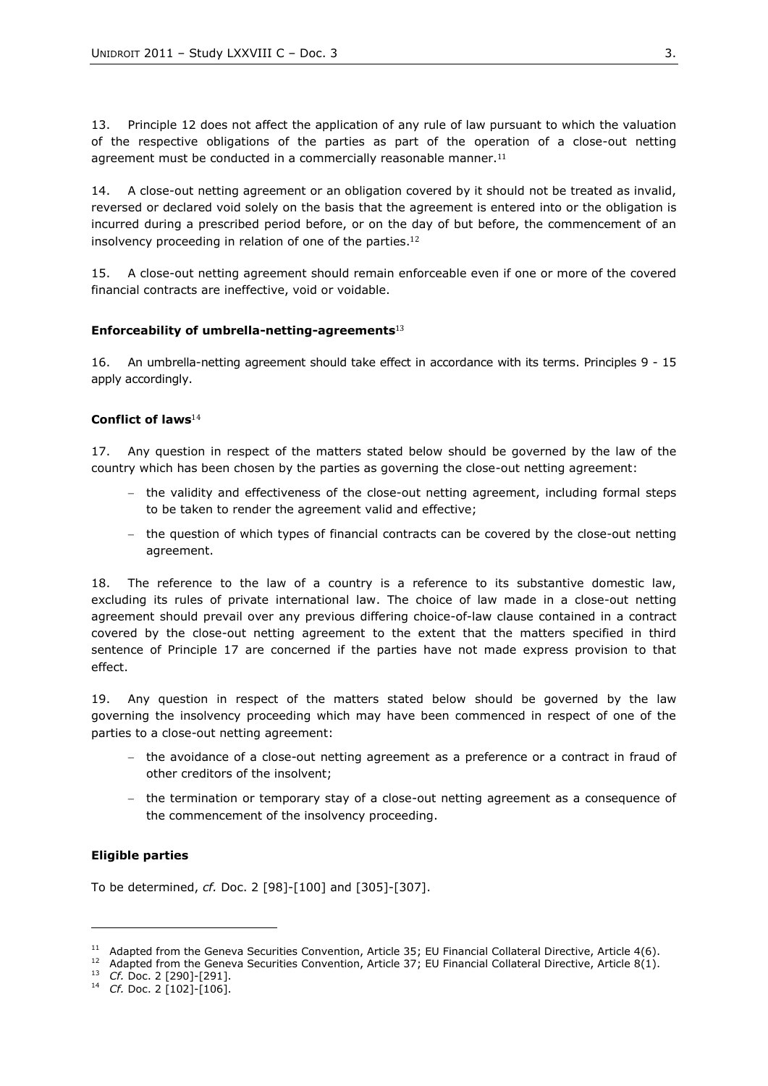13. Principle [12](#page-1-1) does not affect the application of any rule of law pursuant to which the valuation of the respective obligations of the parties as part of the operation of a close-out netting agreement must be conducted in a commercially reasonable manner.<sup>11</sup>

14. A close-out netting agreement or an obligation covered by it should not be treated as invalid, reversed or declared void solely on the basis that the agreement is entered into or the obligation is incurred during a prescribed period before, or on the day of but before, the commencement of an insolvency proceeding in relation of one of the parties. 12

<span id="page-2-0"></span>15. A close-out netting agreement should remain enforceable even if one or more of the covered financial contracts are ineffective, void or voidable.

#### **Enforceability of umbrella-netting-agreements**<sup>13</sup>

16. An umbrella-netting agreement should take effect in accordance with its terms. Principles [9](#page-1-2) - [15](#page-2-0) apply accordingly.

## **Conflict of laws**<sup>14</sup>

<span id="page-2-1"></span>17. Any question in respect of the matters stated below should be governed by the law of the country which has been chosen by the parties as governing the close-out netting agreement:

- $-$  the validity and effectiveness of the close-out netting agreement, including formal steps to be taken to render the agreement valid and effective;
- the question of which types of financial contracts can be covered by the close-out netting agreement.

18. The reference to the law of a country is a reference to its substantive domestic law, excluding its rules of private international law. The choice of law made in a close-out netting agreement should prevail over any previous differing choice-of-law clause contained in a contract covered by the close-out netting agreement to the extent that the matters specified in third sentence of Principle [17](#page-2-1) are concerned if the parties have not made express provision to that effect.

19. Any question in respect of the matters stated below should be governed by the law governing the insolvency proceeding which may have been commenced in respect of one of the parties to a close-out netting agreement:

- $-$  the avoidance of a close-out netting agreement as a preference or a contract in fraud of other creditors of the insolvent;
- $-$  the termination or temporary stay of a close-out netting agreement as a consequence of the commencement of the insolvency proceeding.

### **Eligible parties**

-

To be determined, *cf.* Doc. 2 [98]-[100] and [305]-[307].

<sup>&</sup>lt;sup>11</sup> Adapted from the Geneva Securities Convention, Article 35; EU Financial Collateral Directive, Article 4(6).

<sup>&</sup>lt;sup>12</sup> Adapted from the Geneva Securities Convention, Article 37; EU Financial Collateral Directive, Article 8(1).

<sup>13</sup> *Cf.* Doc. 2 [290]-[291].

<sup>14</sup> *Cf.* Doc. 2 [102]-[106].